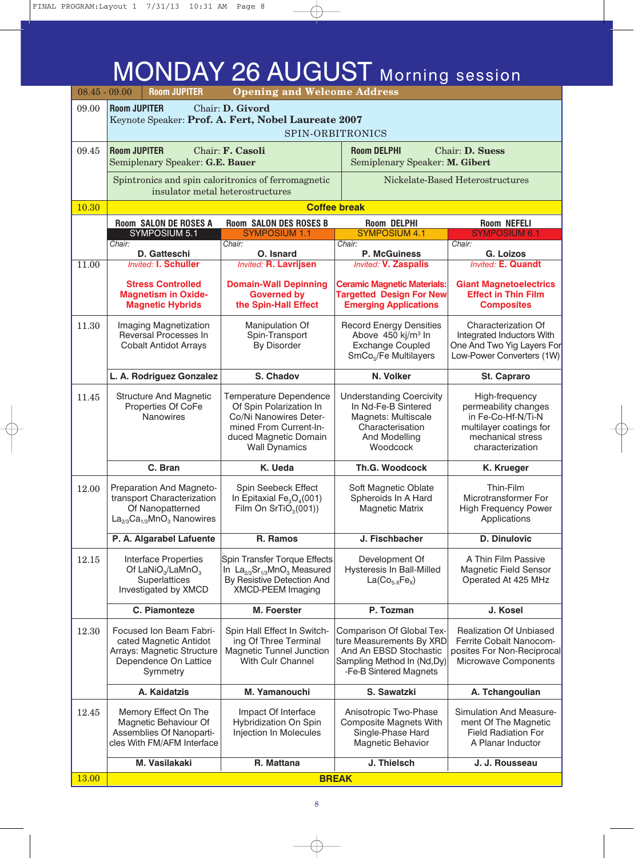### MONDAY 26 AUGUST Morning session

| $08.45 - 09.00$ |                                                                                                  | <b>Room JUPITER</b>                                                                                                  | <b>Opening and Welcome Address</b>                                                                                                                     |                                                                                                                                         |                                                                                                                                  |
|-----------------|--------------------------------------------------------------------------------------------------|----------------------------------------------------------------------------------------------------------------------|--------------------------------------------------------------------------------------------------------------------------------------------------------|-----------------------------------------------------------------------------------------------------------------------------------------|----------------------------------------------------------------------------------------------------------------------------------|
| 09.00           | <b>Room JUPITER</b><br>Chair: D. Givord                                                          |                                                                                                                      |                                                                                                                                                        |                                                                                                                                         |                                                                                                                                  |
|                 | Keynote Speaker: Prof. A. Fert, Nobel Laureate 2007<br>SPIN-ORBITRONICS                          |                                                                                                                      |                                                                                                                                                        |                                                                                                                                         |                                                                                                                                  |
| 09.45           | <b>Room JUPITER</b><br>Chair: F. Casoli<br><b>Room DELPHI</b><br>Semiplenary Speaker: G.E. Bauer |                                                                                                                      | Semiplenary Speaker: M. Gibert                                                                                                                         | Chair: D. Suess                                                                                                                         |                                                                                                                                  |
|                 |                                                                                                  |                                                                                                                      | Spintronics and spin caloritronics of ferromagnetic<br>insulator metal heterostructures                                                                |                                                                                                                                         | Nickelate-Based Heterostructures                                                                                                 |
| 10.30           |                                                                                                  |                                                                                                                      |                                                                                                                                                        | <b>Coffee break</b>                                                                                                                     |                                                                                                                                  |
|                 |                                                                                                  | <b>Room SALON DE ROSES A</b><br>SYMPOSIUM 5.1                                                                        | <b>Room SALON DES ROSES B</b><br><b>SYMPOSIUM 1.1</b>                                                                                                  | <b>Room DELPHI</b><br><b>SYMPOSIUM 4.1</b>                                                                                              | <b>Room NEFELI</b><br><b>SYMPOSIUM 6.1</b>                                                                                       |
|                 | Chair:                                                                                           |                                                                                                                      | Chair:                                                                                                                                                 | Chair:                                                                                                                                  | Chair:                                                                                                                           |
| 11.00           |                                                                                                  | D. Gatteschi<br><b>Invited: I. Schuller</b>                                                                          | O. Isnard<br><b>Invited: R. Lavrijsen</b>                                                                                                              | <b>P. McGuiness</b><br><b>Invited: V. Zaspalis</b>                                                                                      | G. Loizos<br><b>Invited: E. Quandt</b>                                                                                           |
|                 |                                                                                                  | <b>Stress Controlled</b><br><b>Magnetism in Oxide-</b><br><b>Magnetic Hybrids</b>                                    | <b>Domain-Wall Depinning</b><br><b>Governed by</b><br>the Spin-Hall Effect                                                                             | <b>Ceramic Magnetic Materials:</b><br><b>Targetted Design For New</b><br><b>Emerging Applications</b>                                   | <b>Giant Magnetoelectrics</b><br><b>Effect in Thin Film</b><br><b>Composites</b>                                                 |
| 11.30           |                                                                                                  | Imaging Magnetization<br>Reversal Processes In<br><b>Cobalt Antidot Arrays</b>                                       | Manipulation Of<br>Spin-Transport<br><b>By Disorder</b>                                                                                                | <b>Record Energy Densities</b><br>Above 450 kj/m <sup>3</sup> In<br><b>Exchange Coupled</b><br>SmCo <sub>5</sub> /Fe Multilayers        | Characterization Of<br>Integrated Inductors With<br>One And Two Yig Layers For<br>Low-Power Converters (1W)                      |
|                 |                                                                                                  | L. A. Rodriguez Gonzalez                                                                                             | S. Chadov                                                                                                                                              | N. Volker                                                                                                                               | St. Capraro                                                                                                                      |
| 11.45           |                                                                                                  | <b>Structure And Magnetic</b><br>Properties Of CoFe<br>Nanowires                                                     | Temperature Dependence<br>Of Spin Polarization In<br>Co/Ni Nanowires Deter-<br>mined From Current-In-<br>duced Magnetic Domain<br><b>Wall Dynamics</b> | <b>Understanding Coercivity</b><br>In Nd-Fe-B Sintered<br>Magnets: Multiscale<br>Characterisation<br>And Modelling<br>Woodcock          | High-frequency<br>permeability changes<br>in Fe-Co-Hf-N/Ti-N<br>multilayer coatings for<br>mechanical stress<br>characterization |
|                 |                                                                                                  | C. Bran                                                                                                              | K. Ueda                                                                                                                                                | Th.G. Woodcock                                                                                                                          | K. Krueger                                                                                                                       |
| 12.00           |                                                                                                  | Preparation And Magneto-<br>transport Characterization<br>Of Nanopatterned<br>$La2/3Ca1/3MnO3$ Nanowires             | Spin Seebeck Effect<br>In Epitaxial $Fe3O4(001)$<br>Film On SrTiO $_3(001)$ )                                                                          | Soft Magnetic Oblate<br>Spheroids In A Hard<br><b>Magnetic Matrix</b>                                                                   | Thin-Film<br>Microtransformer For<br><b>High Frequency Power</b><br>Applications                                                 |
|                 |                                                                                                  | P. A. Algarabel Lafuente                                                                                             | R. Ramos                                                                                                                                               | J. Fischbacher                                                                                                                          | <b>D. Dinulovic</b>                                                                                                              |
| 12.15           |                                                                                                  | Interface Properties<br>Of LaNiO <sub>3</sub> /LaMnO <sub>3</sub><br>Superlattices<br>Investigated by XMCD           | Spin Transfer Torque Effects<br>In $La2/3Sr1/3MnO3 Measured$<br>By Resistive Detection And<br>XMCD-PEEM Imaging                                        | Development Of<br><b>Hysteresis In Ball-Milled</b><br>$La(Co_{5-X}Fe_X)$                                                                | A Thin Film Passive<br><b>Magnetic Field Sensor</b><br>Operated At 425 MHz                                                       |
|                 |                                                                                                  | C. Piamonteze                                                                                                        | M. Foerster                                                                                                                                            | P. Tozman                                                                                                                               | J. Kosel                                                                                                                         |
| 12.30           |                                                                                                  | Focused Ion Beam Fabri-<br>cated Magnetic Antidot<br>Arrays: Magnetic Structure<br>Dependence On Lattice<br>Symmetry | Spin Hall Effect In Switch-<br>ing Of Three Terminal<br><b>Magnetic Tunnel Junction</b><br>With Culr Channel                                           | Comparison Of Global Tex-<br>ture Measurements By XRD<br>And An EBSD Stochastic<br>Sampling Method In (Nd,Dy)<br>-Fe-B Sintered Magnets | <b>Realization Of Unbiased</b><br>Ferrite Cobalt Nanocom-<br>posites For Non-Reciprocal<br>Microwave Components                  |
|                 |                                                                                                  | A. Kaidatzis                                                                                                         | M. Yamanouchi                                                                                                                                          | S. Sawatzki                                                                                                                             | A. Tchangoulian                                                                                                                  |
| 12.45           |                                                                                                  | Memory Effect On The<br>Magnetic Behaviour Of<br>Assemblies Of Nanoparti-<br>cles With FM/AFM Interface              | Impact Of Interface<br>Hybridization On Spin<br>Injection In Molecules                                                                                 | Anisotropic Two-Phase<br><b>Composite Magnets With</b><br>Single-Phase Hard<br>Magnetic Behavior                                        | <b>Simulation And Measure-</b><br>ment Of The Magnetic<br><b>Field Radiation For</b><br>A Planar Inductor                        |
|                 |                                                                                                  | M. Vasilakaki                                                                                                        | R. Mattana                                                                                                                                             | J. Thielsch                                                                                                                             | J. J. Rousseau                                                                                                                   |
| 13.00           |                                                                                                  |                                                                                                                      |                                                                                                                                                        | <b>BREAK</b>                                                                                                                            |                                                                                                                                  |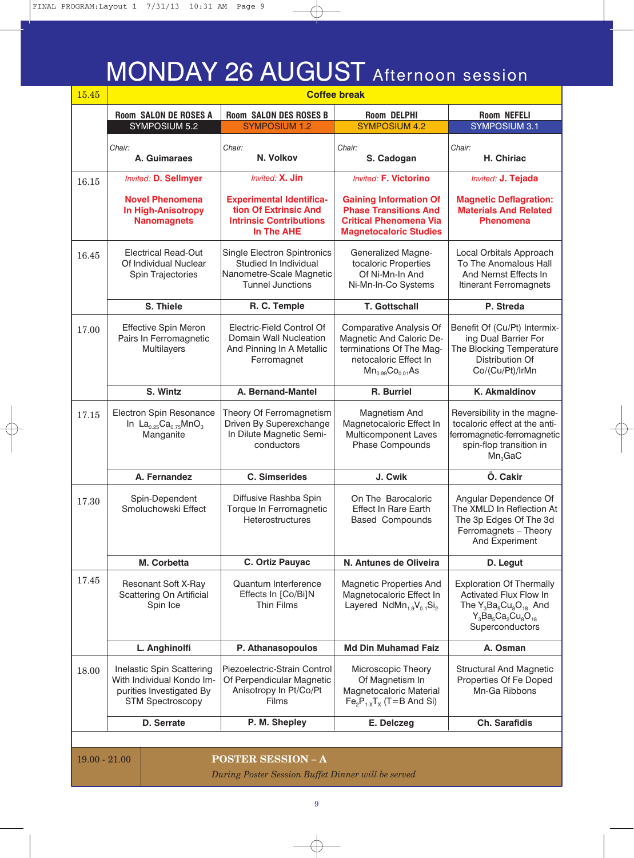### MONDAY 26 AUGUST Afternoon session

| 15.45 | <b>Coffee break</b>                                                                                           |                                                                                                             |                                                                                                                                    |                                                                                                                                               |
|-------|---------------------------------------------------------------------------------------------------------------|-------------------------------------------------------------------------------------------------------------|------------------------------------------------------------------------------------------------------------------------------------|-----------------------------------------------------------------------------------------------------------------------------------------------|
|       | <b>Room SALON DE ROSES A</b>                                                                                  | <b>Room SALON DES ROSES B</b>                                                                               | <b>Room DELPHI</b>                                                                                                                 | <b>Room NEFELI</b>                                                                                                                            |
|       | SYMPOSIUM 5.2                                                                                                 | <b>SYMPOSIUM 1.2</b>                                                                                        | <b>SYMPOSIUM 4.2</b>                                                                                                               | <b>SYMPOSIUM 3.1</b>                                                                                                                          |
|       | Chair:<br>A. Guimaraes                                                                                        | Chair:<br>N. Volkov                                                                                         | Chair:<br>S. Cadogan                                                                                                               | Chair:<br>H. Chiriac                                                                                                                          |
| 16.15 | <b>Invited: D. Sellmyer</b>                                                                                   | Invited: X. Jin                                                                                             | <b>Invited: F. Victorino</b>                                                                                                       | Invited: J. Tejada                                                                                                                            |
|       | <b>Novel Phenomena</b><br><b>In High-Anisotropy</b><br><b>Nanomagnets</b>                                     | <b>Experimental Identifica-</b><br>tion Of Extrinsic And<br><b>Intrinsic Contributions</b><br>In The AHE    | <b>Gaining Information Of</b><br><b>Phase Transitions And</b><br><b>Critical Phenomena Via</b><br><b>Magnetocaloric Studies</b>    | <b>Magnetic Deflagration:</b><br><b>Materials And Related</b><br><b>Phenomena</b>                                                             |
| 16.45 | <b>Electrical Read-Out</b><br>Of Individual Nuclear<br>Spin Trajectories                                      | Single Electron Spintronics<br>Studied In Individual<br>Nanometre-Scale Magnetic<br><b>Tunnel Junctions</b> | <b>Generalized Magne-</b><br>tocaloric Properties<br>Of Ni-Mn-In And<br>Ni-Mn-In-Co Systems                                        | Local Orbitals Approach<br>To The Anomalous Hall<br>And Nernst Effects In<br>Itinerant Ferromagnets                                           |
|       | S. Thiele                                                                                                     | R. C. Temple                                                                                                | <b>T. Gottschall</b>                                                                                                               | P. Streda                                                                                                                                     |
| 17.00 | Effective Spin Meron<br>Pairs In Ferromagnetic<br>Multilayers                                                 | Electric-Field Control Of<br>Domain Wall Nucleation<br>And Pinning In A Metallic<br>Ferromagnet             | Comparative Analysis Of<br>Magnetic And Caloric De-<br>terminations Of The Mag-<br>netocaloric Effect In<br>$Mn_{0.99}Co_{0.01}As$ | Benefit Of (Cu/Pt) Intermix-<br>ing Dual Barrier For<br>The Blocking Temperature<br>Distribution Of<br>Co/(Cu/Pt)/IrMn                        |
|       | S. Wintz                                                                                                      | A. Bernand-Mantel                                                                                           | R. Burriel                                                                                                                         | <b>K. Akmaldinov</b>                                                                                                                          |
| 17.15 | Electron Spin Resonance<br>In $La_{0.25}Ca_{0.75}MnO_3$<br>Manganite                                          | Theory Of Ferromagnetism<br>Driven By Superexchange<br>In Dilute Magnetic Semi-<br>conductors               | Magnetism And<br>Magnetocaloric Effect In<br>Multicomponent Laves<br>Phase Compounds                                               | Reversibility in the magne-<br>tocaloric effect at the anti-<br>ferromagnetic-ferromagnetic<br>spin-flop transition in<br>Mn <sub>3</sub> GaC |
|       | A. Fernandez                                                                                                  | <b>C. Simserides</b>                                                                                        | J. Cwik                                                                                                                            | Ö. Cakir                                                                                                                                      |
| 17.30 | Spin-Dependent<br>Smoluchowski Effect                                                                         | Diffusive Rashba Spin<br>Torque In Ferromagnetic<br>Heterostructures                                        | On The Barocaloric<br><b>Effect In Rare Earth</b><br><b>Based Compounds</b>                                                        | Angular Dependence Of<br>The XMLD In Reflection At<br>The 3p Edges Of The 3d<br>Ferromagnets - Theory<br>And Experiment                       |
|       | <b>M. Corbetta</b>                                                                                            | C. Ortiz Pauyac                                                                                             | N. Antunes de Oliveira                                                                                                             | D. Legut                                                                                                                                      |
| 17.45 | <b>Resonant Soft X-Ray</b><br>Scattering On Artificial<br>Spin Ice                                            | Quantum Interference<br>Effects In [Co/Bi]N<br>Thin Films                                                   | Magnetic Properties And<br>Magnetocaloric Effect In<br>Layered $N dMn_{1.9}V_{0.1}Si_2$                                            | <b>Exploration Of Thermally</b><br><b>Activated Flux Flow In</b><br>The $Y_3Ba_5Cu_8O_{18}$ And<br>$Y_3Ba_5Ca_2Cu_8O_{18}$<br>Superconductors |
|       | L. Anghinolfi                                                                                                 | P. Athanasopoulos                                                                                           | <b>Md Din Muhamad Faiz</b>                                                                                                         | A. Osman                                                                                                                                      |
| 18.00 | Inelastic Spin Scattering<br>With Individual Kondo Im-<br>purities Investigated By<br><b>STM Spectroscopy</b> | Piezoelectric-Strain Control<br>Of Perpendicular Magnetic<br>Anisotropy In Pt/Co/Pt<br>Films                | Microscopic Theory<br>Of Magnetism In<br>Magnetocaloric Material<br>$Fe2P1-XTX$ (T=B And Si)                                       | <b>Structural And Magnetic</b><br>Properties Of Fe Doped<br>Mn-Ga Ribbons                                                                     |
|       | D. Serrate                                                                                                    | P. M. Shepley                                                                                               | E. Delczeg                                                                                                                         | <b>Ch. Sarafidis</b>                                                                                                                          |
|       |                                                                                                               |                                                                                                             |                                                                                                                                    |                                                                                                                                               |
|       |                                                                                                               |                                                                                                             |                                                                                                                                    |                                                                                                                                               |

19.00 - 21.00 **POSTER SESSION – A**

*During Poster Session Buffet Dinner will be served*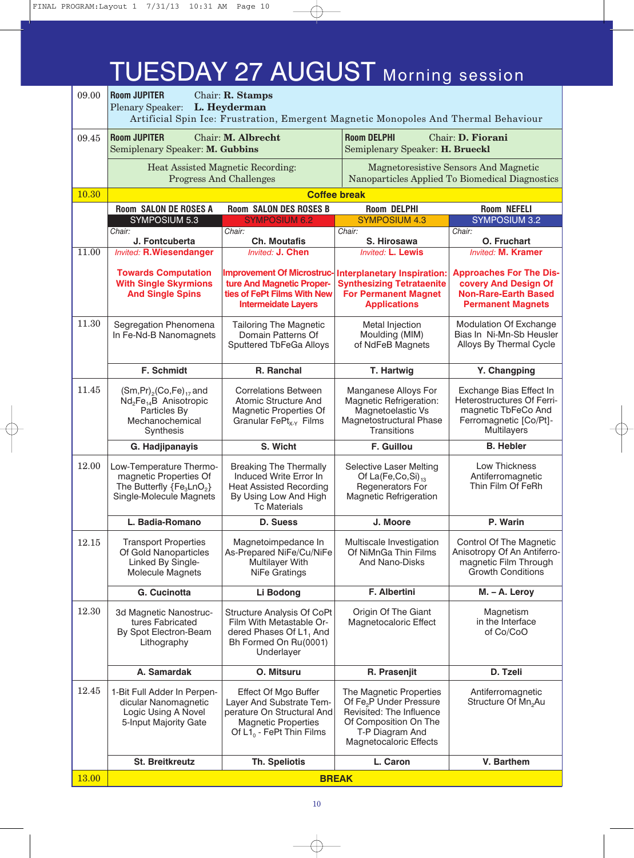### TUESDAY 27 AUGUST Morning session

| 09.00 | <b>Room JUPITER</b><br>Chair: $R.$ Stamps<br>L. Heyderman<br><b>Plenary Speaker:</b><br>Artificial Spin Ice: Frustration, Emergent Magnetic Monopoles And Thermal Behaviour |                                                                                                                                             |                                                                                                                                                                  |                                                                                                                       |
|-------|-----------------------------------------------------------------------------------------------------------------------------------------------------------------------------|---------------------------------------------------------------------------------------------------------------------------------------------|------------------------------------------------------------------------------------------------------------------------------------------------------------------|-----------------------------------------------------------------------------------------------------------------------|
| 09.45 | <b>Room JUPITER</b><br>Semiplenary Speaker: M. Gubbins                                                                                                                      | Chair: M. Albrecht                                                                                                                          | <b>Room DELPHI</b><br>Chair: D. Fiorani<br>Semiplenary Speaker: H. Brueckl                                                                                       |                                                                                                                       |
|       | Heat Assisted Magnetic Recording:<br><b>Progress And Challenges</b>                                                                                                         |                                                                                                                                             | Magnetoresistive Sensors And Magnetic<br>Nanoparticles Applied To Biomedical Diagnostics                                                                         |                                                                                                                       |
| 10.30 |                                                                                                                                                                             |                                                                                                                                             | <b>Coffee break</b>                                                                                                                                              |                                                                                                                       |
|       | <b>Room SALON DE ROSES A</b>                                                                                                                                                | <b>Room SALON DES ROSES B</b>                                                                                                               | <b>Room DELPHI</b>                                                                                                                                               | <b>Room NEFELI</b>                                                                                                    |
|       | SYMPOSIUM 5.3                                                                                                                                                               | <b>SYMPOSIUM 6.2</b>                                                                                                                        | <b>SYMPOSIUM 4.3</b>                                                                                                                                             | <b>SYMPOSIUM 3.2</b>                                                                                                  |
|       | Chair:<br>J. Fontcuberta                                                                                                                                                    | Chair:<br><b>Ch. Moutafis</b>                                                                                                               | Chair:<br>S. Hirosawa                                                                                                                                            | Chair:<br>O. Fruchart                                                                                                 |
| 11.00 | <b>Invited: R.Wiesendanger</b>                                                                                                                                              | Invited: J. Chen                                                                                                                            | <b>Invited: L. Lewis</b>                                                                                                                                         | <b>Invited: M. Kramer</b>                                                                                             |
|       | <b>Towards Computation</b><br><b>With Single Skyrmions</b><br><b>And Single Spins</b>                                                                                       | <b>Improvement Of Microstruc-</b><br>ture And Magnetic Proper-<br>ties of FePt Films With New<br><b>Intermeidate Layers</b>                 | <b>Interplanetary Inspiration:</b><br><b>Synthesizing Tetrataenite</b><br><b>For Permanent Magnet</b><br><b>Applications</b>                                     | <b>Approaches For The Dis-</b><br>covery And Design Of<br><b>Non-Rare-Earth Based</b><br><b>Permanent Magnets</b>     |
| 11.30 | Segregation Phenomena<br>In Fe-Nd-B Nanomagnets                                                                                                                             | <b>Tailoring The Magnetic</b><br>Domain Patterns Of<br>Sputtered TbFeGa Alloys                                                              | Metal Injection<br>Moulding (MIM)<br>of NdFeB Magnets                                                                                                            | Modulation Of Exchange<br>Bias In Ni-Mn-Sb Heusler<br>Alloys By Thermal Cycle                                         |
|       | F. Schmidt                                                                                                                                                                  | R. Ranchal                                                                                                                                  | T. Hartwig                                                                                                                                                       | Y. Changping                                                                                                          |
| 11.45 | $(Sm, Pr)_{2}(Co, Fe)_{17}$ and<br>$Nd2Fe14B$ Anisotropic<br>Particles By<br>Mechanochemical<br>Synthesis                                                                   | <b>Correlations Between</b><br>Atomic Structure And<br><b>Magnetic Properties Of</b><br>Granular FePt <sub>x-Y</sub> Films                  | Manganese Alloys For<br>Magnetic Refrigeration:<br>Magnetoelastic Vs<br>Magnetostructural Phase<br>Transitions                                                   | Exchange Bias Effect In<br>Heterostructures Of Ferri-<br>magnetic TbFeCo And<br>Ferromagnetic [Co/Pt]-<br>Multilayers |
|       | G. Hadjipanayis                                                                                                                                                             | S. Wicht                                                                                                                                    | F. Guillou                                                                                                                                                       | <b>B.</b> Hebler                                                                                                      |
| 12.00 | Low-Temperature Thermo-<br>magnetic Properties Of<br>The Butterfly ${Fe3LnO2}$<br>Single-Molecule Magnets                                                                   | <b>Breaking The Thermally</b><br>Induced Write Error In<br><b>Heat Assisted Recording</b><br>By Using Low And High<br><b>Tc Materials</b>   | <b>Selective Laser Melting</b><br>Of La(Fe,Co,Si) $_{13}$<br>Regenerators For<br><b>Magnetic Refrigeration</b>                                                   | Low Thickness<br>Antiferromagnetic<br>Thin Film Of FeRh                                                               |
|       | L. Badia-Romano                                                                                                                                                             | D. Suess                                                                                                                                    | J. Moore                                                                                                                                                         | P. Warin                                                                                                              |
| 12.15 | <b>Transport Properties</b><br>Of Gold Nanoparticles<br>Linked By Single-<br><b>Molecule Magnets</b>                                                                        | Magnetoimpedance In<br>As-Prepared NiFe/Cu/NiFe<br>Multilayer With<br>NiFe Gratings                                                         | Multiscale Investigation<br>Of NiMnGa Thin Films<br><b>And Nano-Disks</b>                                                                                        | Control Of The Magnetic<br>Anisotropy Of An Antiferro-<br>magnetic Film Through<br><b>Growth Conditions</b>           |
|       | G. Cucinotta                                                                                                                                                                | Li Bodong                                                                                                                                   | F. Albertini                                                                                                                                                     | M. - A. Leroy                                                                                                         |
| 12.30 | 3d Magnetic Nanostruc-<br>tures Fabricated<br>By Spot Electron-Beam<br>Lithography                                                                                          | Structure Analysis Of CoPt<br>Film With Metastable Or-<br>dered Phases Of L1, And<br>Bh Formed On Ru(0001)<br>Underlayer                    | Origin Of The Giant<br>Magnetocaloric Effect                                                                                                                     | Magnetism<br>in the Interface<br>of Co/CoO                                                                            |
|       | A. Samardak                                                                                                                                                                 | O. Mitsuru                                                                                                                                  | R. Prasenjit                                                                                                                                                     | D. Tzeli                                                                                                              |
| 12.45 | 1-Bit Full Adder In Perpen-<br>dicular Nanomagnetic<br>Logic Using A Novel<br>5-Input Majority Gate                                                                         | Effect Of Mgo Buffer<br>Layer And Substrate Tem-<br>perature On Structural And<br><b>Magnetic Properties</b><br>Of $L1_0$ - FePt Thin Films | The Magnetic Properties<br>Of Fe <sub>2</sub> P Under Pressure<br>Revisited: The Influence<br>Of Composition On The<br>T-P Diagram And<br>Magnetocaloric Effects | Antiferromagnetic<br>Structure Of Mn <sub>2</sub> Au                                                                  |
|       | <b>St. Breitkreutz</b>                                                                                                                                                      | <b>Th. Speliotis</b>                                                                                                                        | L. Caron                                                                                                                                                         | V. Barthem                                                                                                            |
| 13.00 | <b>BREAK</b>                                                                                                                                                                |                                                                                                                                             |                                                                                                                                                                  |                                                                                                                       |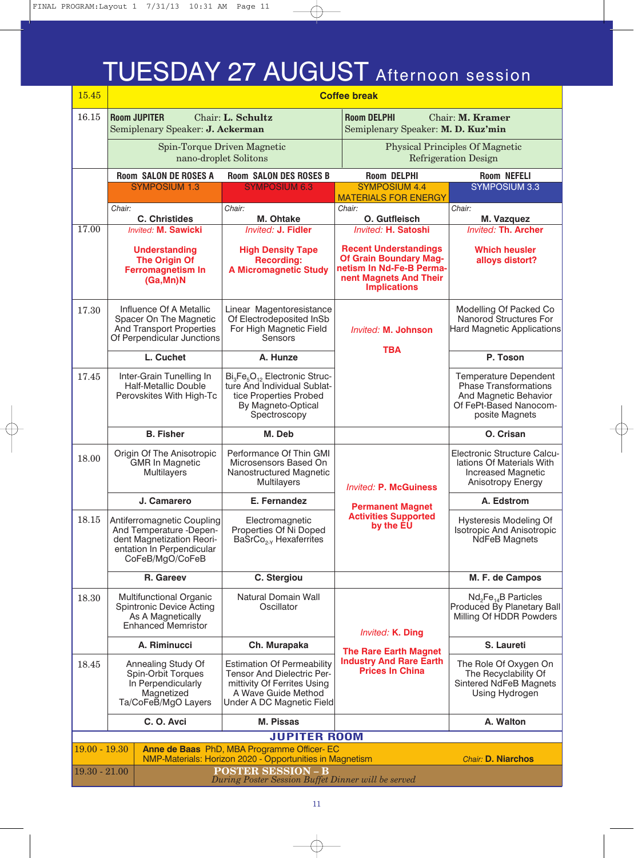### TUESDAY 27 AUGUST Afternoon session

| 15.45           | <b>Coffee break</b>                                                                                                                |                                                                                                                                                                  |                                                                                                                                            |                                                                                                                                   |  |
|-----------------|------------------------------------------------------------------------------------------------------------------------------------|------------------------------------------------------------------------------------------------------------------------------------------------------------------|--------------------------------------------------------------------------------------------------------------------------------------------|-----------------------------------------------------------------------------------------------------------------------------------|--|
| 16.15           | <b>Room JUPITER</b><br>Semiplenary Speaker: J. Ackerman                                                                            | Chair: L. Schultz                                                                                                                                                | <b>Room DELPHI</b><br>Chair: M. Kramer<br>Semiplenary Speaker: M. D. Kuz'min                                                               |                                                                                                                                   |  |
|                 |                                                                                                                                    | Spin-Torque Driven Magnetic<br>nano-droplet Solitons                                                                                                             |                                                                                                                                            | <b>Physical Principles Of Magnetic</b><br><b>Refrigeration Design</b>                                                             |  |
|                 | <b>Room SALON DE ROSES A</b>                                                                                                       | <b>Room SALON DES ROSES B</b>                                                                                                                                    | <b>Room DELPHI</b>                                                                                                                         | <b>Room NEFELI</b>                                                                                                                |  |
|                 | <b>SYMPOSIUM 1.3</b>                                                                                                               | <b>SYMPOSIUM 6.3</b>                                                                                                                                             | <b>SYMPOSIUM 4.4</b>                                                                                                                       | <b>SYMPOSIUM 3.3</b>                                                                                                              |  |
|                 | Chair:                                                                                                                             | Chair:                                                                                                                                                           | <b>MATERIALS FOR ENERGY</b><br>Chair:                                                                                                      | Chair:                                                                                                                            |  |
|                 | <b>C. Christides</b>                                                                                                               | M. Ohtake                                                                                                                                                        | O. Gutfleisch                                                                                                                              | M. Vazquez                                                                                                                        |  |
| 17.00           | <b>Invited: M. Sawicki</b>                                                                                                         | <b>Invited: J. Fidler</b>                                                                                                                                        | Invited: H. Satoshi                                                                                                                        | <b>Invited: Th. Archer</b>                                                                                                        |  |
|                 | <b>Understanding</b><br><b>The Origin Of</b><br><b>Ferromagnetism In</b><br>(Ga, Mn)N                                              | <b>High Density Tape</b><br><b>Recording:</b><br><b>A Micromagnetic Study</b>                                                                                    | <b>Recent Understandings</b><br><b>Of Grain Boundary Mag-</b><br>netism In Nd-Fe-B Perma-<br>nent Magnets And Their<br><b>Implications</b> | <b>Which heusler</b><br>alloys distort?                                                                                           |  |
| 17.30           | Influence Of A Metallic<br>Spacer On The Magnetic<br>And Transport Properties<br>Of Perpendicular Junctions                        | Linear Magentoresistance<br>Of Electrodeposited InSb<br>For High Magnetic Field<br>Sensors                                                                       | Invited: M. Johnson<br><b>TBA</b>                                                                                                          | Modelling Of Packed Co<br>Nanorod Structures For<br>Hard Magnetic Applications                                                    |  |
|                 | L. Cuchet                                                                                                                          | A. Hunze                                                                                                                                                         |                                                                                                                                            | P. Toson                                                                                                                          |  |
| 17.45           | Inter-Grain Tunelling In<br><b>Half-Metallic Double</b><br>Perovskites With High-Tc                                                | Bi <sub>3</sub> Fe <sub>5</sub> O <sub>12</sub> Electronic Struc-<br>ture And Individual Sublat-<br>tice Properties Probed<br>By Magneto-Optical<br>Spectroscopy |                                                                                                                                            | <b>Temperature Dependent</b><br><b>Phase Transformations</b><br>And Magnetic Behavior<br>Of FePt-Based Nanocom-<br>posite Magnets |  |
|                 | <b>B.</b> Fisher                                                                                                                   | M. Deb                                                                                                                                                           |                                                                                                                                            | O. Crisan                                                                                                                         |  |
| 18.00           | Origin Of The Anisotropic<br><b>GMR In Magnetic</b><br><b>Multilayers</b>                                                          | Performance Of Thin GMI<br>Microsensors Based On<br>Nanostructured Magnetic<br>Multilayers                                                                       | <b>Invited: P. McGuiness</b>                                                                                                               | Electronic Structure Calcu-<br>lations Of Materials With<br>Increased Magnetic<br>Anisotropy Energy                               |  |
|                 | J. Camarero                                                                                                                        | E. Fernandez                                                                                                                                                     |                                                                                                                                            | A. Edstrom                                                                                                                        |  |
| 18.15           | Antiferromagnetic Coupling<br>And Temperature -Depen-<br>dent Magnetization Reori-<br>entation In Perpendicular<br>CoFeB/MgO/CoFeB | Electromagnetic<br>Properties Of Ni Doped<br>BaSrCo <sub>2-Y</sub> Hexaferrites                                                                                  | <b>Permanent Magnet</b><br><b>Activities Supported</b><br>by the EU                                                                        | Hysteresis Modeling Of<br>Isotropic And Anisotropic<br><b>NdFeB Magnets</b>                                                       |  |
|                 | R. Gareev                                                                                                                          | C. Stergiou                                                                                                                                                      |                                                                                                                                            | M. F. de Campos                                                                                                                   |  |
| 18.30           | <b>Multifunctional Organic</b><br>Spintronic Device Acting<br>As A Magnetically<br><b>Enhanced Memristor</b>                       | Natural Domain Wall<br>Oscillator                                                                                                                                | Invited: K. Ding                                                                                                                           | $Nd2Fe14B$ Particles<br>Produced By Planetary Ball<br>Milling Of HDDR Powders                                                     |  |
|                 | A. Riminucci                                                                                                                       | Ch. Murapaka                                                                                                                                                     |                                                                                                                                            | S. Laureti                                                                                                                        |  |
| 18.45           | Annealing Study Of<br>Spin-Orbit Torques<br>In Perpendicularly<br>Magnetized<br>Ta/CoFeB/MgO Layers                                | <b>Estimation Of Permeability</b><br>Tensor And Dielectric Per-<br>mittivity Of Ferrites Using<br>A Wave Guide Method<br>Under A DC Magnetic Field               | <b>The Rare Earth Magnet</b><br><b>Industry And Rare Earth</b><br><b>Prices In China</b>                                                   | The Role Of Oxygen On<br>The Recyclability Of<br>Sintered NdFeB Magnets<br>Using Hydrogen                                         |  |
|                 | C.O. Avci                                                                                                                          | <b>M. Pissas</b>                                                                                                                                                 |                                                                                                                                            | A. Walton                                                                                                                         |  |
|                 |                                                                                                                                    | <b>JUPITER ROOM</b>                                                                                                                                              |                                                                                                                                            |                                                                                                                                   |  |
| $19.00 - 19.30$ |                                                                                                                                    | Anne de Baas PhD, MBA Programme Officer- EC                                                                                                                      |                                                                                                                                            |                                                                                                                                   |  |
|                 |                                                                                                                                    | NMP-Materials: Horizon 2020 - Opportunities in Magnetism<br><b>POSTER SESSION - B</b>                                                                            |                                                                                                                                            | <b>Chair: D. Niarchos</b>                                                                                                         |  |
|                 | $19.30 - 21.00$<br>During Poster Session Buffet Dinner will be served                                                              |                                                                                                                                                                  |                                                                                                                                            |                                                                                                                                   |  |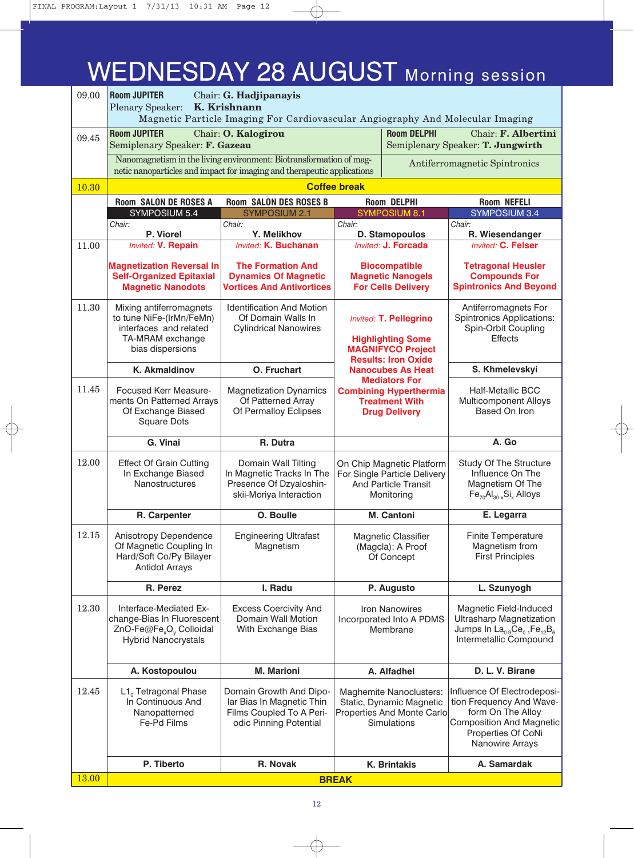# WEDNESDAY 28 AUGUST Morning session

| 09.00 | <b>Room JUPITER</b><br>Chair: G. Hadjipanayis<br>K. Krishnann<br><b>Plenary Speaker:</b><br>Magnetic Particle Imaging For Cardiovascular Angiography And Molecular Imaging |                                                                                                                                               |                                                                                                                     |                                                                                                         |                                                                                                                                                                     |
|-------|----------------------------------------------------------------------------------------------------------------------------------------------------------------------------|-----------------------------------------------------------------------------------------------------------------------------------------------|---------------------------------------------------------------------------------------------------------------------|---------------------------------------------------------------------------------------------------------|---------------------------------------------------------------------------------------------------------------------------------------------------------------------|
| 09.45 | <b>Room JUPITER</b><br>Semiplenary Speaker: F. Gazeau                                                                                                                      | <b>Room DELPHI</b><br>Chair: O. Kalogirou                                                                                                     |                                                                                                                     |                                                                                                         | Chair: F. Albertini<br>Semiplenary Speaker: T. Jungwirth                                                                                                            |
|       |                                                                                                                                                                            | Nanomagnetism in the living environment: Biotransformation of mag-<br>netic nanoparticles and impact for imaging and therapeutic applications |                                                                                                                     |                                                                                                         | Antiferromagnetic Spintronics                                                                                                                                       |
| 10.30 | <b>Coffee break</b>                                                                                                                                                        |                                                                                                                                               |                                                                                                                     |                                                                                                         |                                                                                                                                                                     |
|       | <b>Room SALON DE ROSES A</b>                                                                                                                                               | <b>Room SALON DES ROSES B</b>                                                                                                                 |                                                                                                                     | <b>Room DELPHI</b>                                                                                      | Room NEFELI                                                                                                                                                         |
|       | SYMPOSIUM 5.4                                                                                                                                                              | <b>SYMPOSIUM 2.1</b>                                                                                                                          |                                                                                                                     | <b>SYMPOSIUM 8.1</b>                                                                                    | <b>SYMPOSIUM 3.4</b>                                                                                                                                                |
|       | Chair:                                                                                                                                                                     | Chair:                                                                                                                                        | Chair:                                                                                                              |                                                                                                         | Chair:                                                                                                                                                              |
| 11.00 | P. Viorel<br><b>Invited: V. Repain</b>                                                                                                                                     | Y. Melikhov<br><b>Invited: K. Buchanan</b>                                                                                                    |                                                                                                                     | D. Stamopoulos<br>Invited: J. Forcada                                                                   | R. Wiesendanger<br><b>Invited: C. Felser</b>                                                                                                                        |
|       | <b>Magnetization Reversal In</b><br><b>Self-Organized Epitaxial</b><br><b>Magnetic Nanodots</b>                                                                            | <b>The Formation And</b><br><b>Dynamics Of Magnetic</b><br><b>Vortices And Antivortices</b>                                                   |                                                                                                                     | <b>Biocompatible</b><br><b>Magnetic Nanogels</b><br><b>For Cells Delivery</b>                           | <b>Tetragonal Heusler</b><br><b>Compounds For</b><br><b>Spintronics And Beyond</b>                                                                                  |
| 11.30 | Mixing antiferromagnets<br>to tune NiFe-(IrMn/FeMn)<br>interfaces and related<br>TA-MRAM exchange<br>bias dispersions                                                      | <b>Identification And Motion</b><br>Of Domain Walls In<br><b>Cylindrical Nanowires</b>                                                        | <b>Invited: T. Pellegrino</b><br><b>Highlighting Some</b><br><b>MAGNIFYCO Project</b><br><b>Results: Iron Oxide</b> |                                                                                                         | Antiferromagnets For<br><b>Spintronics Applications:</b><br>Spin-Orbit Coupling<br><b>Effects</b>                                                                   |
|       | <b>K. Akmaldinov</b>                                                                                                                                                       | O. Fruchart                                                                                                                                   |                                                                                                                     | <b>Nanocubes As Heat</b>                                                                                | S. Khmelevskyi                                                                                                                                                      |
| 11.45 | Focused Kerr Measure-<br>ments On Patterned Arrays<br>Of Exchange Biased<br><b>Square Dots</b>                                                                             | <b>Magnetization Dynamics</b><br>Of Patterned Array<br>Of Permalloy Eclipses                                                                  | <b>Mediators For</b><br><b>Combining Hyperthermia</b><br><b>Treatment With</b><br><b>Drug Delivery</b>              |                                                                                                         | <b>Half-Metallic BCC</b><br>Multicomponent Alloys<br>Based On Iron                                                                                                  |
|       | G. Vinai                                                                                                                                                                   | R. Dutra                                                                                                                                      |                                                                                                                     |                                                                                                         | A. Go                                                                                                                                                               |
| 12.00 | <b>Effect Of Grain Cutting</b><br>In Exchange Biased<br>Nanostructures                                                                                                     | Domain Wall Tilting<br>In Magnetic Tracks In The<br>Presence Of Dzyaloshin-<br>skii-Moriya Interaction                                        |                                                                                                                     | On Chip Magnetic Platform<br>For Single Particle Delivery<br><b>And Particle Transit</b><br>Monitoring  | Study Of The Structure<br>Influence On The<br>Magnetism Of The<br>$Fe_{70}Al_{30-x}Si_{x}$ Alloys                                                                   |
|       | R. Carpenter                                                                                                                                                               | O. Boulle                                                                                                                                     |                                                                                                                     | M. Cantoni                                                                                              | E. Legarra                                                                                                                                                          |
| 12.15 | Anisotropy Dependence<br>Of Magnetic Coupling In<br>Hard/Soft Co/Py Bilayer<br><b>Antidot Arrays</b>                                                                       | <b>Engineering Ultrafast</b><br>Magnetism                                                                                                     |                                                                                                                     | Magnetic Classifier<br>(Magcla): A Proof<br>Of Concept                                                  | Finite Temperature<br>Magnetism from<br><b>First Principles</b>                                                                                                     |
|       | R. Perez                                                                                                                                                                   | I. Radu                                                                                                                                       |                                                                                                                     | P. Augusto                                                                                              | L. Szunyogh                                                                                                                                                         |
| 12.30 | Interface-Mediated Ex-<br>change-Bias In Fluorescent<br>ZnO-Fe@Fe <sub>x</sub> O <sub>v</sub> Colloidal<br><b>Hybrid Nanocrystals</b>                                      | <b>Excess Coercivity And</b><br>Domain Wall Motion<br>With Exchange Bias                                                                      |                                                                                                                     | <b>Iron Nanowires</b><br>Incorporated Into A PDMS<br>Membrane                                           | Magnetic Field-Induced<br><b>Ultrasharp Magnetization</b><br>Jumps In La <sub>0.9</sub> Ce <sub>0.1</sub> Fe <sub>12</sub> B <sub>6</sub><br>Intermetallic Compound |
|       | A. Kostopoulou                                                                                                                                                             | <b>M. Marioni</b>                                                                                                                             |                                                                                                                     | A. Alfadhel                                                                                             | D. L. V. Birane                                                                                                                                                     |
| 12.45 | $L1_0$ Tetragonal Phase<br>In Continuous And<br>Nanopatterned<br>Fe-Pd Films                                                                                               | Domain Growth And Dipo-<br>lar Bias In Magnetic Thin<br>Films Coupled To A Peri-<br>odic Pinning Potential                                    |                                                                                                                     | Maghemite Nanoclusters:<br>Static, Dynamic Magnetic<br>Properties And Monte Carlo<br><b>Simulations</b> | Influence Of Electrodeposi-<br>tion Frequency And Wave-<br>form On The Alloy<br><b>Composition And Magnetic</b><br>Properties Of CoNi<br>Nanowire Arrays            |
|       | P. Tiberto                                                                                                                                                                 | R. Novak                                                                                                                                      |                                                                                                                     | <b>K. Brintakis</b>                                                                                     | A. Samardak                                                                                                                                                         |
| 13.00 | <b>BREAK</b>                                                                                                                                                               |                                                                                                                                               |                                                                                                                     |                                                                                                         |                                                                                                                                                                     |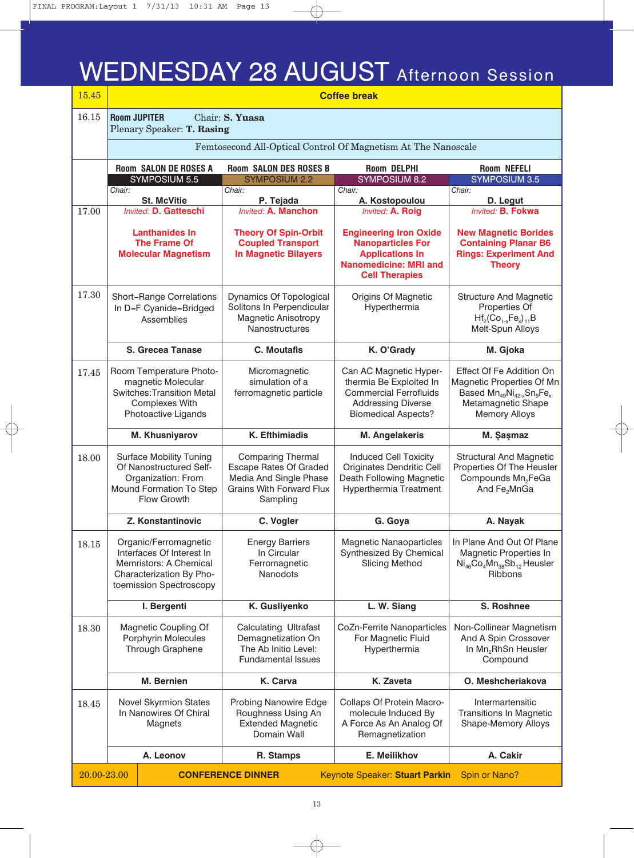### WEDNESDAY 28 AUGUST Afternoon Session

| 15.45       | <b>Coffee break</b>                                                                                       |                                                                                                                                     |                                                                                                                                    |                                                                                                                                               |                                                                                                                                             |  |
|-------------|-----------------------------------------------------------------------------------------------------------|-------------------------------------------------------------------------------------------------------------------------------------|------------------------------------------------------------------------------------------------------------------------------------|-----------------------------------------------------------------------------------------------------------------------------------------------|---------------------------------------------------------------------------------------------------------------------------------------------|--|
| 16.15       |                                                                                                           | <b>Room JUPITER</b><br>Plenary Speaker: T. Rasing                                                                                   | Chair: S. Yuasa                                                                                                                    |                                                                                                                                               |                                                                                                                                             |  |
|             | Femtosecond All-Optical Control Of Magnetism At The Nanoscale                                             |                                                                                                                                     |                                                                                                                                    |                                                                                                                                               |                                                                                                                                             |  |
|             | <b>Room DELPHI</b><br><b>Room SALON DE ROSES A</b><br><b>Room SALON DES ROSES B</b><br><b>Room NEFELI</b> |                                                                                                                                     |                                                                                                                                    |                                                                                                                                               |                                                                                                                                             |  |
|             | Chair:                                                                                                    | SYMPOSIUM 5.5                                                                                                                       | <b>SYMPOSIUM 2.2</b><br>Chair:                                                                                                     | <b>SYMPOSIUM 8.2</b><br>Chair:                                                                                                                | <b>SYMPOSIUM 3.5</b><br>Chair:                                                                                                              |  |
|             |                                                                                                           | <b>St. McVitie</b>                                                                                                                  | P. Tejada                                                                                                                          | A. Kostopoulou                                                                                                                                | D. Legut                                                                                                                                    |  |
| 17.00       |                                                                                                           | <b>Invited: D. Gatteschi</b>                                                                                                        | <b>Invited: A. Manchon</b>                                                                                                         | Invited: A. Roig                                                                                                                              | Invited: B. Fokwa                                                                                                                           |  |
|             |                                                                                                           | <b>Lanthanides In</b><br><b>The Frame Of</b><br><b>Molecular Magnetism</b>                                                          | <b>Theory Of Spin-Orbit</b><br><b>Coupled Transport</b><br><b>In Magnetic Bilayers</b>                                             | <b>Engineering Iron Oxide</b><br><b>Nanoparticles For</b><br><b>Applications In</b><br><b>Nanomedicine: MRI and</b><br><b>Cell Therapies</b>  | <b>New Magnetic Borides</b><br><b>Containing Planar B6</b><br><b>Rings: Experiment And</b><br><b>Theory</b>                                 |  |
| 17.30       |                                                                                                           | <b>Short-Range Correlations</b><br>In D-F Cyanide-Bridged<br>Assemblies                                                             | Dynamics Of Topological<br>Solitons In Perpendicular<br>Magnetic Anisotropy<br>Nanostructures                                      | Origins Of Magnetic<br>Hyperthermia                                                                                                           | <b>Structure And Magnetic</b><br>Properties Of<br>$Hf_2(Co_{1-x}Fe_x)_{11}B$<br>Melt-Spun Alloys                                            |  |
|             |                                                                                                           | S. Grecea Tanase                                                                                                                    | <b>C.</b> Moutafis                                                                                                                 | K. O'Grady                                                                                                                                    | M. Gjoka                                                                                                                                    |  |
| 17.45       |                                                                                                           | Room Temperature Photo-<br>magnetic Molecular<br><b>Switches: Transition Metal</b><br><b>Complexes With</b><br>Photoactive Ligands  | Micromagnetic<br>simulation of a<br>ferromagnetic particle                                                                         | Can AC Magnetic Hyper-<br>thermia Be Exploited In<br><b>Commercial Ferrofluids</b><br><b>Addressing Diverse</b><br><b>Biomedical Aspects?</b> | Effect Of Fe Addition On<br>Magnetic Properties Of Mn<br>Based $Mn_{49}Ni_{42-x}Sn_{9}Fe_{x}$<br>Metamagnetic Shape<br><b>Memory Alloys</b> |  |
|             |                                                                                                           | M. Khusniyarov                                                                                                                      | K. Efthimiadis                                                                                                                     | <b>M. Angelakeris</b>                                                                                                                         | M. Şaşmaz                                                                                                                                   |  |
| 18.00       |                                                                                                           | <b>Surface Mobility Tuning</b><br>Of Nanostructured Self-<br>Organization: From<br>Mound Formation To Step<br>Flow Growth           | <b>Comparing Thermal</b><br><b>Escape Rates Of Graded</b><br>Media And Single Phase<br><b>Grains With Forward Flux</b><br>Sampling | <b>Induced Cell Toxicity</b><br>Originates Dendritic Cell<br>Death Following Magnetic<br>Hyperthermia Treatment                               | <b>Structural And Magnetic</b><br>Properties Of The Heusler<br>Compounds Mn <sub>2</sub> FeGa<br>And Fe <sub>2</sub> MnGa                   |  |
|             |                                                                                                           | Z. Konstantinovic                                                                                                                   | C. Vogler                                                                                                                          | G. Goya                                                                                                                                       | A. Nayak                                                                                                                                    |  |
| 18.15       |                                                                                                           | Organic/Ferromagnetic<br>Interfaces Of Interest In<br>Memristors: A Chemical<br>Characterization By Pho-<br>toemission Spectroscopy | <b>Energy Barriers</b><br>In Circular<br>Ferromagnetic<br><b>Nanodots</b>                                                          | <b>Magnetic Nanaoparticles</b><br>Synthesized By Chemical<br><b>Slicing Method</b>                                                            | In Plane And Out Of Plane<br>Magnetic Properties In<br>$Ni_{46}Co_4Mn_{38}Sb_{12}$ Heusler<br><b>Ribbons</b>                                |  |
|             |                                                                                                           | I. Bergenti                                                                                                                         | K. Gusliyenko                                                                                                                      | L. W. Siang                                                                                                                                   | S. Roshnee                                                                                                                                  |  |
| 18.30       |                                                                                                           | Magnetic Coupling Of<br><b>Porphyrin Molecules</b><br>Through Graphene                                                              | <b>Calculating Ultrafast</b><br>Demagnetization On<br>The Ab Initio Level:<br><b>Fundamental Issues</b>                            | <b>CoZn-Ferrite Nanoparticles</b><br>For Magnetic Fluid<br>Hyperthermia                                                                       | Non-Collinear Magnetism<br>And A Spin Crossover<br>In Mn <sub>2</sub> RhSn Heusler<br>Compound                                              |  |
|             |                                                                                                           | M. Bernien                                                                                                                          | K. Carva                                                                                                                           | K. Zaveta                                                                                                                                     | O. Meshcheriakova                                                                                                                           |  |
| 18.45       |                                                                                                           | <b>Novel Skyrmion States</b><br>In Nanowires Of Chiral<br>Magnets                                                                   | Probing Nanowire Edge<br>Roughness Using An<br><b>Extended Magnetic</b><br>Domain Wall                                             | Collaps Of Protein Macro-<br>molecule Induced By<br>A Force As An Analog Of<br>Remagnetization                                                | Intermartensitic<br><b>Transitions In Magnetic</b><br>Shape-Memory Alloys                                                                   |  |
|             |                                                                                                           | A. Leonov                                                                                                                           | R. Stamps                                                                                                                          | E. Meilikhov                                                                                                                                  | A. Cakir                                                                                                                                    |  |
| 20.00-23.00 |                                                                                                           |                                                                                                                                     | <b>CONFERENCE DINNER</b>                                                                                                           | Keynote Speaker: Stuart Parkin                                                                                                                | Spin or Nano?                                                                                                                               |  |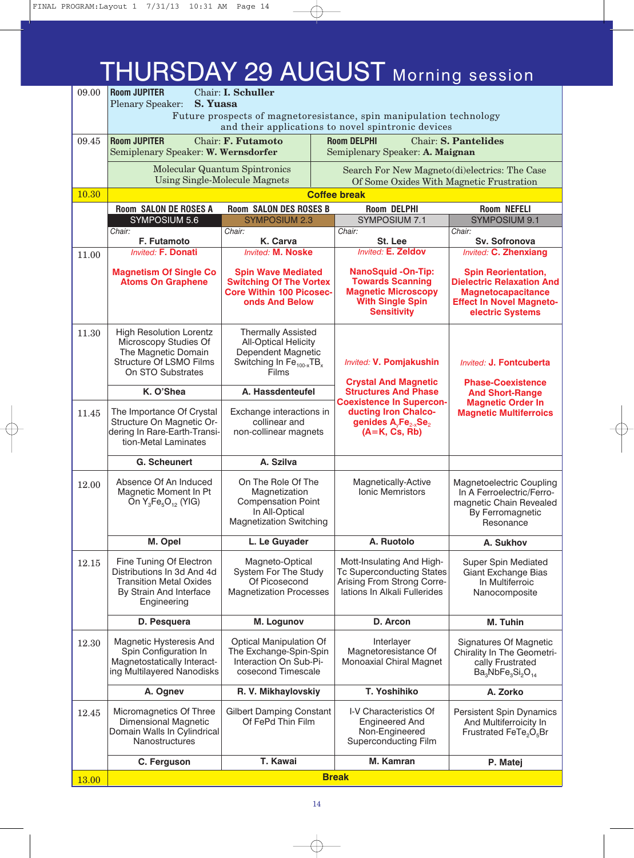### THURSDAY 29 AUGUST Morning session

| 09.00 | <b>Room JUPITER</b><br>Chair: I. Schuller                                                                                             |                                                                                                                                             |                                                                                                                                        |                                                                                                                                                    |  |
|-------|---------------------------------------------------------------------------------------------------------------------------------------|---------------------------------------------------------------------------------------------------------------------------------------------|----------------------------------------------------------------------------------------------------------------------------------------|----------------------------------------------------------------------------------------------------------------------------------------------------|--|
|       | S. Yuasa<br><b>Plenary Speaker:</b><br>Future prospects of magnetoresistance, spin manipulation technology                            |                                                                                                                                             |                                                                                                                                        |                                                                                                                                                    |  |
|       | and their applications to novel spintronic devices                                                                                    |                                                                                                                                             |                                                                                                                                        |                                                                                                                                                    |  |
| 09.45 | <b>Room JUPITER</b><br>Chair: F. Futamoto<br><b>Room DELPHI</b><br><b>Chair: S. Pantelides</b>                                        |                                                                                                                                             |                                                                                                                                        |                                                                                                                                                    |  |
|       | Semiplenary Speaker: W. Wernsdorfer                                                                                                   |                                                                                                                                             | Semiplenary Speaker: A. Maignan                                                                                                        |                                                                                                                                                    |  |
|       | Molecular Quantum Spintronics                                                                                                         |                                                                                                                                             | Search For New Magneto(di)electrics: The Case                                                                                          |                                                                                                                                                    |  |
|       |                                                                                                                                       | <b>Using Single-Molecule Magnets</b>                                                                                                        | Of Some Oxides With Magnetic Frustration                                                                                               |                                                                                                                                                    |  |
| 10.30 |                                                                                                                                       |                                                                                                                                             | <b>Coffee break</b>                                                                                                                    |                                                                                                                                                    |  |
|       | <b>Room SALON DE ROSES A</b><br><b>SYMPOSIUM 5.6</b>                                                                                  | <b>Room SALON DES ROSES B</b><br><b>SYMPOSIUM 2.3</b>                                                                                       | <b>Room DELPHI</b><br>SYMPOSIUM 7.1                                                                                                    | <b>Room NEFELI</b><br>SYMPOSIUM 9.1                                                                                                                |  |
|       | Chair:                                                                                                                                | Chair:                                                                                                                                      | Chair:                                                                                                                                 | Chair:                                                                                                                                             |  |
|       | F. Futamoto                                                                                                                           | K. Carva                                                                                                                                    | St. Lee                                                                                                                                | Sv. Sofronova                                                                                                                                      |  |
| 11.00 | <b>Invited: F. Donati</b>                                                                                                             | <b>Invited: M. Noske</b>                                                                                                                    | <b>Invited: E. Zeldov</b>                                                                                                              | <b>Invited: C. Zhenxiang</b>                                                                                                                       |  |
|       | <b>Magnetism Of Single Co</b><br><b>Atoms On Graphene</b>                                                                             | <b>Spin Wave Mediated</b><br><b>Switching Of The Vortex</b><br><b>Core Within 100 Picosec-</b><br>onds And Below                            | <b>NanoSquid-On-Tip:</b><br><b>Towards Scanning</b><br><b>Magnetic Microscopy</b><br><b>With Single Spin</b><br><b>Sensitivity</b>     | <b>Spin Reorientation,</b><br><b>Dielectric Relaxation And</b><br><b>Magnetocapacitance</b><br><b>Effect In Novel Magneto-</b><br>electric Systems |  |
| 11.30 | <b>High Resolution Lorentz</b><br>Microscopy Studies Of<br>The Magnetic Domain<br><b>Structure Of LSMO Films</b><br>On STO Substrates | <b>Thermally Assisted</b><br><b>All-Optical Helicity</b><br>Dependent Magnetic<br>Switching In Fe <sub>100-x</sub> TB <sub>x</sub><br>Films | <b>Invited: V. Pomjakushin</b><br><b>Crystal And Magnetic</b>                                                                          | Invited: J. Fontcuberta<br><b>Phase-Coexistence</b><br><b>And Short-Range</b><br><b>Magnetic Order In</b><br><b>Magnetic Multiferroics</b>         |  |
|       | K. O'Shea                                                                                                                             | A. Hassdenteufel                                                                                                                            | <b>Structures And Phase</b>                                                                                                            |                                                                                                                                                    |  |
| 11.45 | The Importance Of Crystal<br>Structure On Magnetic Or-<br>dering In Rare-Earth-Transi-<br>tion-Metal Laminates                        | Exchange interactions in<br>collinear and<br>non-collinear magnets                                                                          | <b>Coexistence In Supercon-</b><br>ducting Iron Chalco-<br>genides A <sub>v</sub> Fe <sub>2-x</sub> Se <sub>2</sub><br>$(A=K, Cs, Rb)$ |                                                                                                                                                    |  |
|       | G. Scheunert                                                                                                                          | A. Szilva                                                                                                                                   |                                                                                                                                        |                                                                                                                                                    |  |
| 12.00 | Absence Of An Induced<br>Magnetic Moment In Pt<br>On $Y_3Fe_5O_{12}$ (YIG)                                                            | On The Role Of The<br>Magnetization<br><b>Compensation Point</b><br>In All-Optical<br><b>Magnetization Switching</b>                        | Magnetically-Active<br><b>Ionic Memristors</b>                                                                                         | Magnetoelectric Coupling<br>In A Ferroelectric/Ferro-<br>magnetic Chain Revealed<br>By Ferromagnetic<br>Resonance                                  |  |
|       | M. Opel                                                                                                                               | L. Le Guyader                                                                                                                               | A. Ruotolo                                                                                                                             | A. Sukhov                                                                                                                                          |  |
| 12.15 | Fine Tuning Of Electron<br>Distributions In 3d And 4d<br><b>Transition Metal Oxides</b><br>By Strain And Interface<br>Engineering     | Magneto-Optical<br>System For The Study<br>Of Picosecond<br><b>Magnetization Processes</b>                                                  | Mott-Insulating And High-<br><b>Tc Superconducting States</b><br>Arising From Strong Corre-<br>lations In Alkali Fullerides            | Super Spin Mediated<br>Giant Exchange Bias<br>In Multiferroic<br>Nanocomposite                                                                     |  |
|       | D. Pesquera                                                                                                                           | M. Logunov                                                                                                                                  | D. Arcon                                                                                                                               | M. Tuhin                                                                                                                                           |  |
| 12.30 | Magnetic Hysteresis And<br>Spin Configuration In<br>Magnetostatically Interact-<br>ing Multilayered Nanodisks                         | Optical Manipulation Of<br>The Exchange-Spin-Spin<br>Interaction On Sub-Pi-<br>cosecond Timescale                                           | Interlayer<br>Magnetoresistance Of<br>Monoaxial Chiral Magnet                                                                          | Signatures Of Magnetic<br>Chirality In The Geometri-<br>cally Frustrated<br>$Ba3NbFe3Si2O14$                                                       |  |
|       | A. Ognev                                                                                                                              | R. V. Mikhaylovskiy                                                                                                                         | T. Yoshihiko                                                                                                                           | A. Zorko                                                                                                                                           |  |
| 12.45 | Micromagnetics Of Three<br><b>Dimensional Magnetic</b><br>Domain Walls In Cylindrical<br>Nanostructures                               | <b>Gilbert Damping Constant</b><br>Of FePd Thin Film                                                                                        | I-V Characteristics Of<br><b>Engineered And</b><br>Non-Engineered<br>Superconducting Film                                              | Persistent Spin Dynamics<br>And Multiferroicity In<br>Frustrated FeTe <sub>2</sub> O <sub>5</sub> Br                                               |  |
|       | C. Ferguson                                                                                                                           | T. Kawai                                                                                                                                    | M. Kamran                                                                                                                              | P. Matej                                                                                                                                           |  |
| 13.00 |                                                                                                                                       |                                                                                                                                             | <b>Break</b>                                                                                                                           |                                                                                                                                                    |  |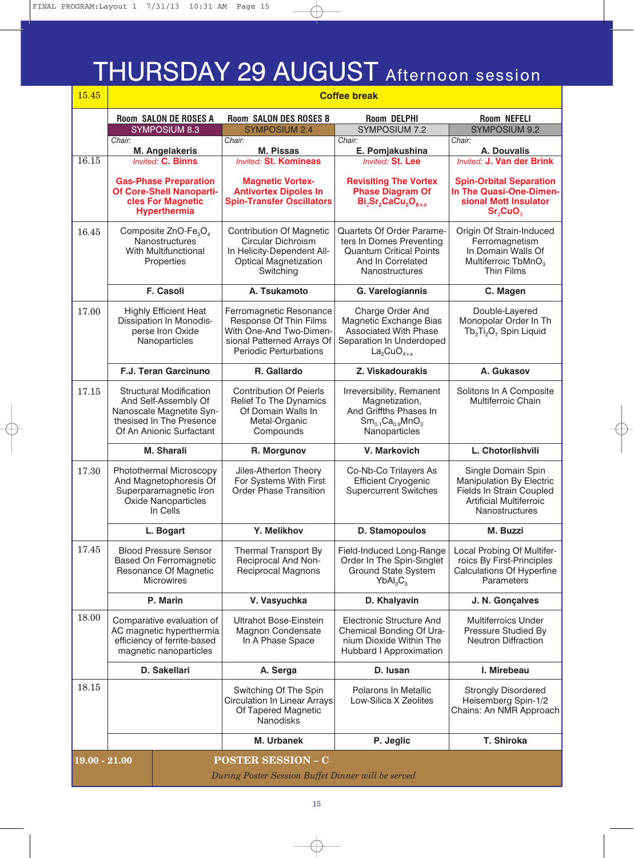### THURSDAY 29 AUGUST Afternoon session

| 15.45                                                                                              |                                                                                                                                            |                                                                                                                                      | <b>Coffee break</b>                                                                                                            |                                                                                                                                       |
|----------------------------------------------------------------------------------------------------|--------------------------------------------------------------------------------------------------------------------------------------------|--------------------------------------------------------------------------------------------------------------------------------------|--------------------------------------------------------------------------------------------------------------------------------|---------------------------------------------------------------------------------------------------------------------------------------|
|                                                                                                    | <b>Room SALON DE ROSES A</b>                                                                                                               | <b>Room SALON DES ROSES B</b>                                                                                                        | <b>Room DELPHI</b>                                                                                                             | <b>Room NEFELI</b>                                                                                                                    |
|                                                                                                    | SYMPOSIUM 8.3                                                                                                                              | <b>SYMPOSIUM 2.4</b>                                                                                                                 | <b>SYMPOSIUM 7.2</b>                                                                                                           | <b>SYMPOSIUM 9.2</b>                                                                                                                  |
|                                                                                                    | Chair:<br>M. Angelakeris                                                                                                                   | Chair:<br><b>M. Pissas</b>                                                                                                           | Chair:<br>E. Pomjakushina                                                                                                      | Chair:<br>A. Douvalis                                                                                                                 |
| 16.15                                                                                              | <b>Invited: C. Binns</b>                                                                                                                   | <b>Invited: St. Komineas</b>                                                                                                         | <b>Invited: St. Lee</b>                                                                                                        | <b>Invited: J. Van der Brink</b>                                                                                                      |
|                                                                                                    | <b>Gas-Phase Preparation</b><br>Of Core-Shell Nanoparti-<br>cles For Magnetic<br><b>Hyperthermia</b>                                       | <b>Magnetic Vortex-</b><br><b>Antivortex Dipoles In</b><br><b>Spin-Transfer Oscillators</b>                                          | <b>Revisiting The Vortex</b><br><b>Phase Diagram Of</b><br>Bi <sub>2</sub> Sr <sub>2</sub> CaCu <sub>2O<sub>8+a</sub></sub>    | <b>Spin-Orbital Separation</b><br>In The Quasi-One-Dimen-<br>sional Mott Insulator<br>Sr <sub>2</sub> CuO <sub>3</sub>                |
| 16.45                                                                                              | Composite ZnO-Fe <sub>3</sub> O <sub>4</sub><br>Nanostructures<br>With Multifunctional<br>Properties                                       | <b>Contribution Of Magnetic</b><br>Circular Dichroism<br>In Helicity-Dependent All-<br><b>Optical Magnetization</b><br>Switching     | Quartets Of Order Parame-<br>ters In Domes Preventing<br><b>Quantum Critical Points</b><br>And In Correlated<br>Nanostructures | Origin Of Strain-Induced<br>Ferromagnetism<br>In Domain Walls Of<br>Multiferroic TbMnO <sub>3</sub><br>Thin Films                     |
|                                                                                                    | F. Casoli                                                                                                                                  | A. Tsukamoto                                                                                                                         | G. Varelogiannis                                                                                                               | C. Magen                                                                                                                              |
| 17.00                                                                                              | <b>Highly Efficient Heat</b><br>Dissipation In Monodis-<br>perse Iron Oxide<br>Nanoparticles                                               | Ferromagnetic Resonance<br>Response Of Thin Films<br>With One-And Two-Dimen-<br>sional Patterned Arrays Of<br>Periodic Perturbations | Charge Order And<br>Magnetic Exchange Bias<br><b>Associated With Phase</b><br>Separation In Underdoped<br>$La2CuO4+x$          | Double-Layered<br>Monopolar Order In Th<br>Tb <sub>2</sub> Ti <sub>2</sub> O <sub>7</sub> Spin Liquid                                 |
|                                                                                                    | <b>F.J. Teran Garcinuno</b>                                                                                                                | R. Gallardo                                                                                                                          | Z. Viskadourakis                                                                                                               | A. Gukasov                                                                                                                            |
| 17.15                                                                                              | <b>Structural Modification</b><br>And Self-Assembly Of<br>Nanoscale Magnetite Syn-<br>thesised In The Presence<br>Of An Anionic Surfactant | <b>Contribution Of Peierls</b><br><b>Relief To The Dynamics</b><br>Of Domain Walls In<br>Metal-Organic<br>Compounds                  | Irreversibility, Remanent<br>Magnetization,<br>And Griffths Phases In<br>$Sm_{0.1}Ca_{0.9}MnO_3$<br>Nanoparticles              | Solitons In A Composite<br>Multiferroic Chain                                                                                         |
|                                                                                                    | <b>M. Sharali</b>                                                                                                                          | R. Morgunov                                                                                                                          | V. Markovich                                                                                                                   | L. Chotorlishvili                                                                                                                     |
| 17.30                                                                                              | Photothermal Microscopy<br>And Magnetophoresis Of<br>Superparamagnetic Iron<br>Oxide Nanoparticles<br>In Cells                             | Jiles-Atherton Theory<br>For Systems With First<br><b>Order Phase Transition</b>                                                     | Co-Nb-Co Trilayers As<br><b>Efficient Cryogenic</b><br><b>Supercurrent Switches</b>                                            | Single Domain Spin<br>Manipulation By Electric<br>Fields In Strain Coupled<br><b>Artificial Multiferroic</b><br><b>Nanostructures</b> |
|                                                                                                    | L. Bogart                                                                                                                                  | Y. Melikhov                                                                                                                          | <b>D. Stamopoulos</b>                                                                                                          | M. Buzzi                                                                                                                              |
| 17.45                                                                                              | <b>Blood Pressure Sensor</b><br>Based On Ferromagnetic<br>Resonance Of Magnetic<br><b>Microwires</b>                                       | Thermal Transport By<br>Reciprocal And Non-<br>Reciprocal Magnons                                                                    | Field-Induced Long-Range<br>Order In The Spin-Singlet<br>Ground State System<br>YbAl <sub>3</sub> C <sub>3</sub>               | Local Probing Of Multifer-<br>roics By First-Principles<br><b>Calculations Of Hyperfine</b><br>Parameters                             |
|                                                                                                    | P. Marin                                                                                                                                   | V. Vasyuchka                                                                                                                         | D. Khalyavin                                                                                                                   | J. N. Gonçalves                                                                                                                       |
| 18.00                                                                                              | Comparative evaluation of<br>AC magnetic hyperthermia<br>efficiency of ferrite-based<br>magnetic nanoparticles                             | Ultrahot Bose-Einstein<br>Magnon Condensate<br>In A Phase Space                                                                      | Electronic Structure And<br>Chemical Bonding Of Ura-<br>nium Dioxide Within The<br>Hubbard I Approximation                     | <b>Multiferroics Under</b><br>Pressure Studied By<br><b>Neutron Diffraction</b>                                                       |
|                                                                                                    | D. Sakellari                                                                                                                               | A. Serga                                                                                                                             | D. Iusan                                                                                                                       | I. Mirebeau                                                                                                                           |
| 18.15                                                                                              |                                                                                                                                            | Switching Of The Spin<br><b>Circulation In Linear Arrays</b><br>Of Tapered Magnetic<br><b>Nanodisks</b>                              | Polarons In Metallic<br>Low-Silica X Zeolites                                                                                  | <b>Strongly Disordered</b><br>Heisemberg Spin-1/2<br>Chains: An NMR Approach                                                          |
|                                                                                                    |                                                                                                                                            | M. Urbanek                                                                                                                           | P. Jeglic                                                                                                                      | T. Shiroka                                                                                                                            |
| <b>POSTER SESSION - C</b><br>$19.00 - 21.00$<br>During Poster Session Buffet Dinner will be served |                                                                                                                                            |                                                                                                                                      |                                                                                                                                |                                                                                                                                       |